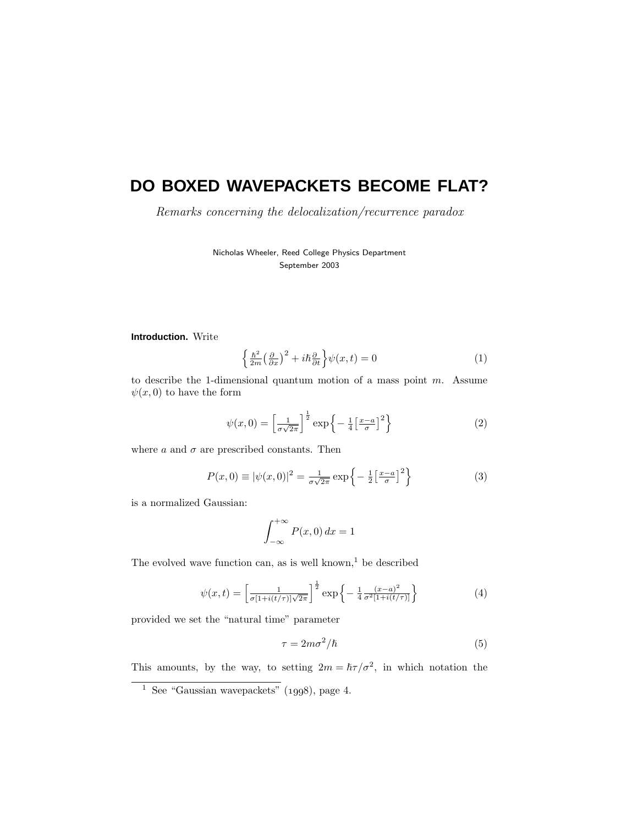# **DO BOXED WAVEPACKETS BECOME FLAT?**

Remarks concerning the delocalization/recurrence paradox

Nicholas Wheeler, Reed College Physics Department September 2003

### **Introduction.** Write

$$
\left\{\frac{\hbar^2}{2m}\left(\frac{\partial}{\partial x}\right)^2 + i\hbar\frac{\partial}{\partial t}\right\}\psi(x,t) = 0\tag{1}
$$

to describe the 1-dimensional quantum motion of a mass point *m*. Assume  $\psi(x,0)$  to have the form

$$
\psi(x,0) = \left[\frac{1}{\sigma\sqrt{2\pi}}\right]^{\frac{1}{2}} \exp\left\{-\frac{1}{4}\left[\frac{x-a}{\sigma}\right]^2\right\} \tag{2}
$$

where  $a$  and  $\sigma$  are prescribed constants. Then

$$
P(x,0) \equiv |\psi(x,0)|^2 = \frac{1}{\sigma\sqrt{2\pi}} \exp\left\{-\frac{1}{2}\left[\frac{x-a}{\sigma}\right]^2\right\} \tag{3}
$$

is a normalized Gaussian:

$$
\int_{-\infty}^{+\infty} P(x,0) \, dx = 1
$$

The evolved wave function can, as is well known, $1$  be described

$$
\psi(x,t) = \left[\frac{1}{\sigma[1+i(t/\tau)]\sqrt{2\pi}}\right]^{\frac{1}{2}} \exp\left\{-\frac{1}{4}\frac{(x-a)^2}{\sigma^2[1+i(t/\tau)]}\right\} \tag{4}
$$

provided we set the "natural time" parameter

$$
\tau = 2m\sigma^2/\hbar \tag{5}
$$

This amounts, by the way, to setting  $2m = \hbar \tau / \sigma^2$ , in which notation the

 $^{-1}$  See "Gaussian wavepackets" (1998), page 4.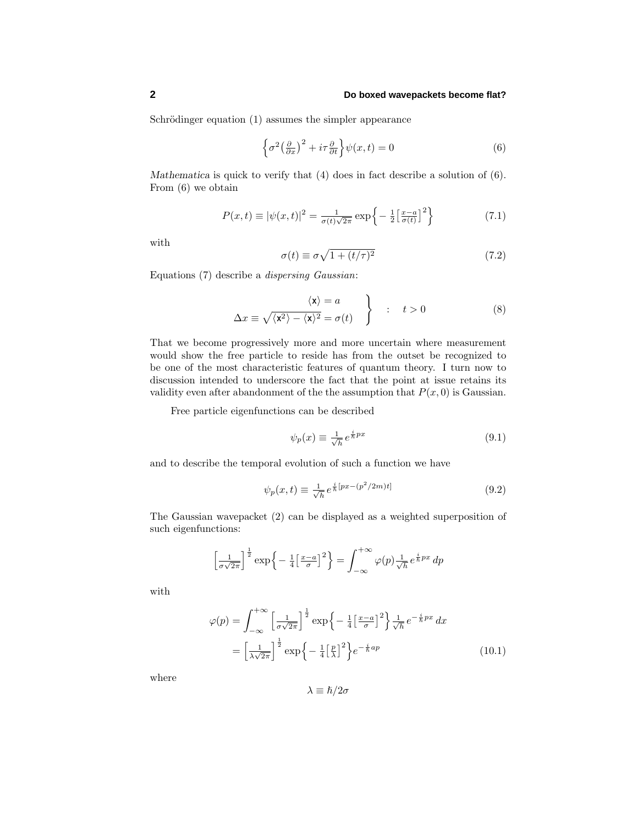Schrödinger equation (1) assumes the simpler appearance

$$
\left\{\sigma^2 \left(\frac{\partial}{\partial x}\right)^2 + i\tau \frac{\partial}{\partial t}\right\}\psi(x,t) = 0\tag{6}
$$

*Mathematica* is quick to verify that (4) does in fact describe a solution of (6). From (6) we obtain

$$
P(x,t) \equiv |\psi(x,t)|^2 = \frac{1}{\sigma(t)\sqrt{2\pi}} \exp\left\{-\frac{1}{2} \left[\frac{x-a}{\sigma(t)}\right]^2\right\} \tag{7.1}
$$

with

$$
\sigma(t) \equiv \sigma \sqrt{1 + (t/\tau)^2} \tag{7.2}
$$

Equations (7) describe a dispersing Gaussian:

$$
\Delta x \equiv \sqrt{\langle x^2 \rangle - \langle x \rangle^2} = \sigma(t) \quad \left.\begin{matrix} & & \\ & & \end{matrix}\right\} \quad : \quad t > 0 \tag{8}
$$

That we become progressively more and more uncertain where measurement would show the free particle to reside has from the outset be recognized to be one of the most characteristic features of quantum theory. I turn now to discussion intended to underscore the fact that the point at issue retains its validity even after abandonment of the the assumption that  $P(x, 0)$  is Gaussian.

Free particle eigenfunctions can be described

$$
\psi_p(x) \equiv \frac{1}{\sqrt{h}} e^{\frac{i}{\hbar}px} \tag{9.1}
$$

and to describe the temporal evolution of such a function we have

$$
\psi_p(x,t) \equiv \frac{1}{\sqrt{h}} e^{\frac{i}{\hbar}[px-(p^2/2m)t]} \tag{9.2}
$$

The Gaussian wavepacket (2) can be displayed as a weighted superposition of such eigenfunctions:

$$
\left[\frac{1}{\sigma\sqrt{2\pi}}\right]^{\frac{1}{2}}\exp\left\{-\frac{1}{4}\left[\frac{x-a}{\sigma}\right]^{2}\right\} = \int_{-\infty}^{+\infty}\varphi(p)\frac{1}{\sqrt{h}}e^{\frac{i}{\hbar}px}dp
$$

with

$$
\varphi(p) = \int_{-\infty}^{+\infty} \left[ \frac{1}{\sigma \sqrt{2\pi}} \right]^{\frac{1}{2}} \exp\left\{-\frac{1}{4} \left[ \frac{x-a}{\sigma} \right]^2 \right\} \frac{1}{\sqrt{h}} e^{-\frac{i}{h} px} dx
$$

$$
= \left[ \frac{1}{\lambda \sqrt{2\pi}} \right]^{\frac{1}{2}} \exp\left\{-\frac{1}{4} \left[ \frac{p}{\lambda} \right]^2 \right\} e^{-\frac{i}{h} ap}
$$
(10.1)

where

 $λ \equiv �h/2σ$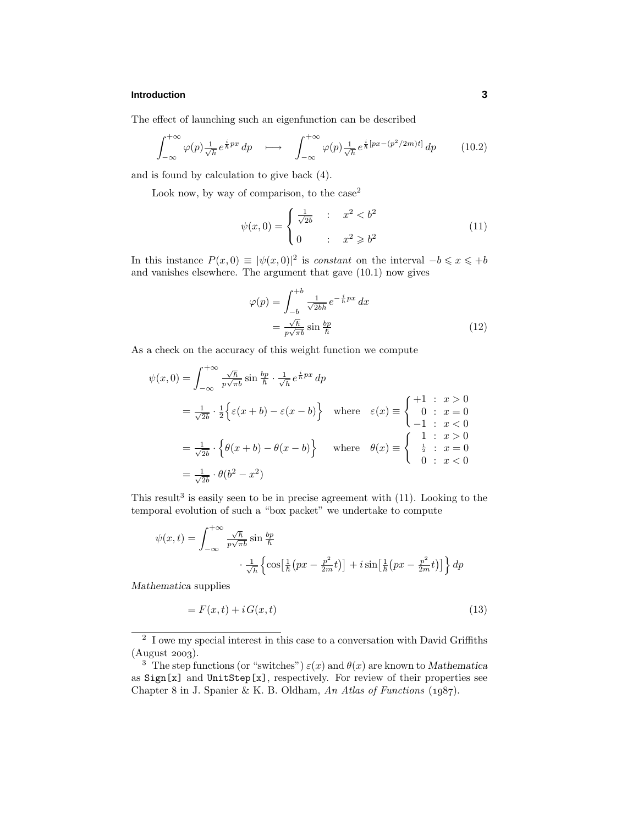The effect of launching such an eigenfunction can be described

$$
\int_{-\infty}^{+\infty} \varphi(p) \frac{1}{\sqrt{h}} e^{\frac{i}{\hbar} px} dp \quad \longmapsto \quad \int_{-\infty}^{+\infty} \varphi(p) \frac{1}{\sqrt{h}} e^{\frac{i}{\hbar} [px - (p^2/2m)t]} dp \qquad (10.2)
$$

and is found by calculation to give back (4).

Look now, by way of comparison, to the  $case<sup>2</sup>$ 

$$
\psi(x,0) = \begin{cases} \frac{1}{\sqrt{2b}} & : x^2 < b^2 \\ 0 & : x^2 \geq b^2 \end{cases}
$$
(11)

In this instance  $P(x,0) \equiv |\psi(x,0)|^2$  is *constant* on the interval  $-b \leq x \leq +b$ and vanishes elsewhere. The argument that gave (10.1) now gives

$$
\varphi(p) = \int_{-b}^{+b} \frac{1}{\sqrt{2bh}} e^{-\frac{i}{h}px} dx
$$

$$
= \frac{\sqrt{h}}{p\sqrt{\pi b}} \sin\frac{bp}{h}
$$
(12)

As a check on the accuracy of this weight function we compute

$$
\psi(x,0) = \int_{-\infty}^{+\infty} \frac{\sqrt{h}}{p\sqrt{\pi b}} \sin\frac{bp}{h} \cdot \frac{1}{\sqrt{h}} e^{\frac{i}{h}px} dp
$$
  
\n
$$
= \frac{1}{\sqrt{2b}} \cdot \frac{1}{2} \Big\{ \varepsilon(x+b) - \varepsilon(x-b) \Big\} \quad \text{where} \quad \varepsilon(x) \equiv \begin{cases} +1 : & x > 0 \\ 0 : & x = 0 \\ -1 : & x < 0 \end{cases}
$$
  
\n
$$
= \frac{1}{\sqrt{2b}} \cdot \Big\{ \theta(x+b) - \theta(x-b) \Big\} \quad \text{where} \quad \theta(x) \equiv \begin{cases} 1 : & x > 0 \\ \frac{1}{2} : & x = 0 \\ 0 : & x < 0 \end{cases}
$$
  
\n
$$
= \frac{1}{\sqrt{2b}} \cdot \theta(b^2 - x^2)
$$

This result<sup>3</sup> is easily seen to be in precise agreement with  $(11)$ . Looking to the temporal evolution of such a "box packet" we undertake to compute

$$
\psi(x,t) = \int_{-\infty}^{+\infty} \frac{\sqrt{\hbar}}{p\sqrt{\pi b}} \sin\frac{bp}{\hbar} \cdot \frac{1}{\sqrt{\hbar}} \left\{ \cos\left[\frac{1}{\hbar} \left( px - \frac{p^2}{2m}t \right) \right] + i \sin\left[\frac{1}{\hbar} \left( px - \frac{p^2}{2m}t \right) \right] \right\} dp
$$

*Mathematica* supplies

$$
=F(x,t) + iG(x,t) \tag{13}
$$

<sup>&</sup>lt;sup>2</sup> I owe my special interest in this case to a conversation with David Griffiths  $(August 2003).$ 

<sup>&</sup>lt;sup>3</sup> The step functions (or "switches")  $\varepsilon(x)$  and  $\theta(x)$  are known to *Mathematica* as Sign[x] and UnitStep[x], respectively. For review of their properties see Chapter 8 in J. Spanier & K. B. Oldham, An Atlas of Functions  $(1987)$ .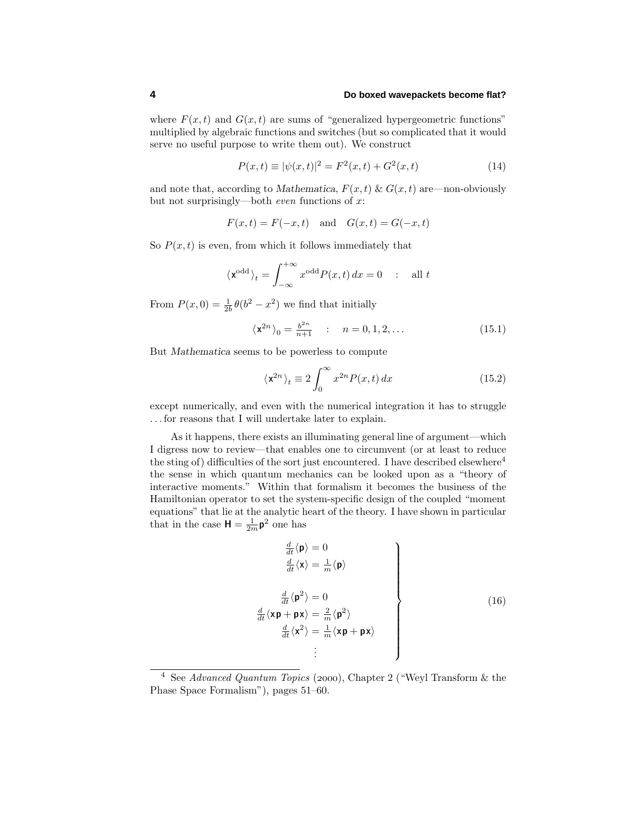## **4 Do boxed wavepackets become flat?**

where  $F(x, t)$  and  $G(x, t)$  are sums of "generalized hypergeometric functions" multiplied by algebraic functions and switches (but so complicated that it would serve no useful purpose to write them out). We construct

$$
P(x,t) \equiv |\psi(x,t)|^2 = F^2(x,t) + G^2(x,t)
$$
\n(14)

and note that, according to *Mathematica*,  $F(x, t) \& G(x, t)$  are—non-obviously but not surprisingly—both even functions of *x*:

 $F(x,t) = F(-x,t)$  and  $G(x,t) = G(-x,t)$ 

So  $P(x, t)$  is even, from which it follows immediately that

$$
\langle \mathbf{x}^{\text{odd}} \rangle_t = \int_{-\infty}^{+\infty} x^{\text{odd}} P(x, t) \, dx = 0 \quad : \quad \text{all } t
$$

From  $P(x, 0) = \frac{1}{2b} \theta(b^2 - x^2)$  we find that initially

$$
\langle \mathbf{x}^{2n} \rangle_0 = \frac{b^{2n}}{n+1} \quad : \quad n = 0, 1, 2, \dots \tag{15.1}
$$

But *Mathematica* seems to be powerless to compute

$$
\langle \mathbf{x}^{2n} \rangle_t \equiv 2 \int_0^\infty x^{2n} P(x, t) \, dx \tag{15.2}
$$

except numerically, and even with the numerical integration it has to struggle *...* for reasons that I will undertake later to explain.

As it happens, there exists an illuminating general line of argument—which I digress now to review—that enables one to circumvent (or at least to reduce the sting of) difficulties of the sort just encountered. I have described elsewhere<sup>4</sup> the sense in which quantum mechanics can be looked upon as a "theory of interactive moments." Within that formalism it becomes the business of the Hamiltonian operator to set the system-specific design of the coupled "moment equations" that lie at the analytic heart of the theory. I have shown in particular that in the case  $H = \frac{1}{2m} p^2$  one has

$$
\frac{\frac{d}{dt}\langle \mathbf{p} \rangle = 0}{\frac{d}{dt}\langle \mathbf{x} \rangle = \frac{1}{m}\langle \mathbf{p} \rangle}
$$
\n
$$
\frac{\frac{d}{dt}\langle \mathbf{p}^2 \rangle = 0}{\frac{d}{dt}\langle \mathbf{x}\mathbf{p} + \mathbf{p}\mathbf{x} \rangle = \frac{2}{m}\langle \mathbf{p}^2 \rangle}
$$
\n
$$
\frac{\frac{d}{dt}\langle \mathbf{x}^2 \rangle = \frac{1}{m}\langle \mathbf{x}\mathbf{p} + \mathbf{p}\mathbf{x} \rangle}{\vdots}
$$
\n(16)

<sup>&</sup>lt;sup>4</sup> See Advanced Quantum Topics (2000), Chapter 2 ("Weyl Transform  $\&$  the Phase Space Formalism"), pages 51–60.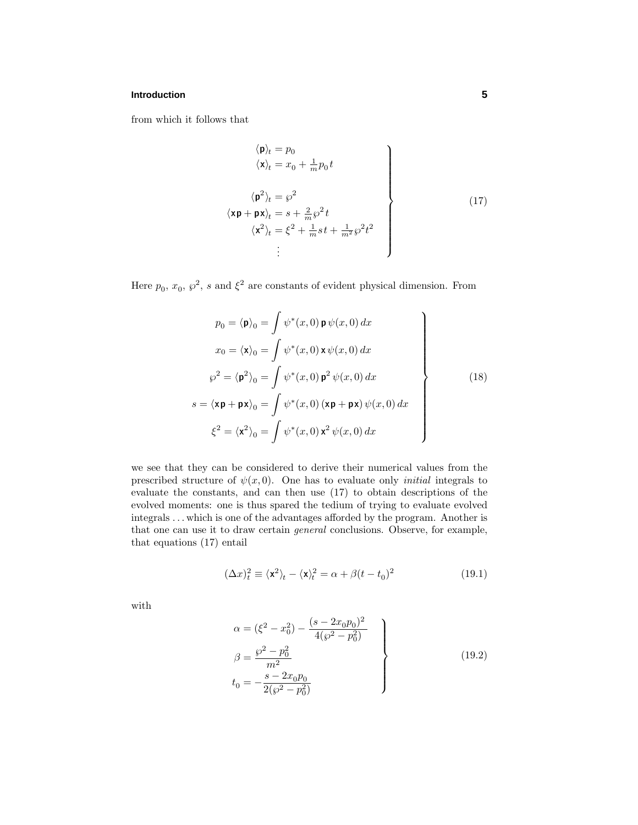from which it follows that

$$
\langle \mathbf{p} \rangle_t = p_0
$$
\n
$$
\langle \mathbf{x} \rangle_t = x_0 + \frac{1}{m} p_0 t
$$
\n
$$
\langle \mathbf{p}^2 \rangle_t = \wp^2
$$
\n
$$
\langle \mathbf{x} \mathbf{p} + \mathbf{p} \mathbf{x} \rangle_t = s + \frac{2}{m} \wp^2 t
$$
\n
$$
\langle \mathbf{x}^2 \rangle_t = \xi^2 + \frac{1}{m} s t + \frac{1}{m^2} \wp^2 t^2
$$
\n
$$
\vdots
$$
\n(17)

Here  $p_0, x_0, \wp^2$ , *s* and  $\xi^2$  are constants of evident physical dimension. From

$$
p_0 = \langle \mathbf{p} \rangle_0 = \int \psi^*(x, 0) \mathbf{p} \psi(x, 0) dx
$$
  
\n
$$
x_0 = \langle \mathbf{x} \rangle_0 = \int \psi^*(x, 0) \mathbf{x} \psi(x, 0) dx
$$
  
\n
$$
\wp^2 = \langle \mathbf{p}^2 \rangle_0 = \int \psi^*(x, 0) \mathbf{p}^2 \psi(x, 0) dx
$$
  
\n
$$
s = \langle \mathbf{x} \mathbf{p} + \mathbf{p} \mathbf{x} \rangle_0 = \int \psi^*(x, 0) (\mathbf{x} \mathbf{p} + \mathbf{p} \mathbf{x}) \psi(x, 0) dx
$$
  
\n
$$
\xi^2 = \langle \mathbf{x}^2 \rangle_0 = \int \psi^*(x, 0) \mathbf{x}^2 \psi(x, 0) dx
$$
\n(18)

we see that they can be considered to derive their numerical values from the prescribed structure of  $\psi(x,0)$ . One has to evaluate only *initial* integrals to evaluate the constants, and can then use (17) to obtain descriptions of the evolved moments: one is thus spared the tedium of trying to evaluate evolved integrals *...* which is one of the advantages afforded by the program. Another is that one can use it to draw certain general conclusions. Observe, for example, that equations (17) entail

$$
(\Delta x)_t^2 \equiv \langle \mathbf{x}^2 \rangle_t - \langle \mathbf{x} \rangle_t^2 = \alpha + \beta (t - t_0)^2 \tag{19.1}
$$

with

$$
\alpha = (\xi^2 - x_0^2) - \frac{(s - 2x_0 p_0)^2}{4(\wp^2 - p_0^2)}
$$
  
\n
$$
\beta = \frac{\wp^2 - p_0^2}{m^2}
$$
  
\n
$$
t_0 = -\frac{s - 2x_0 p_0}{2(\wp^2 - p_0^2)}
$$
\n(19.2)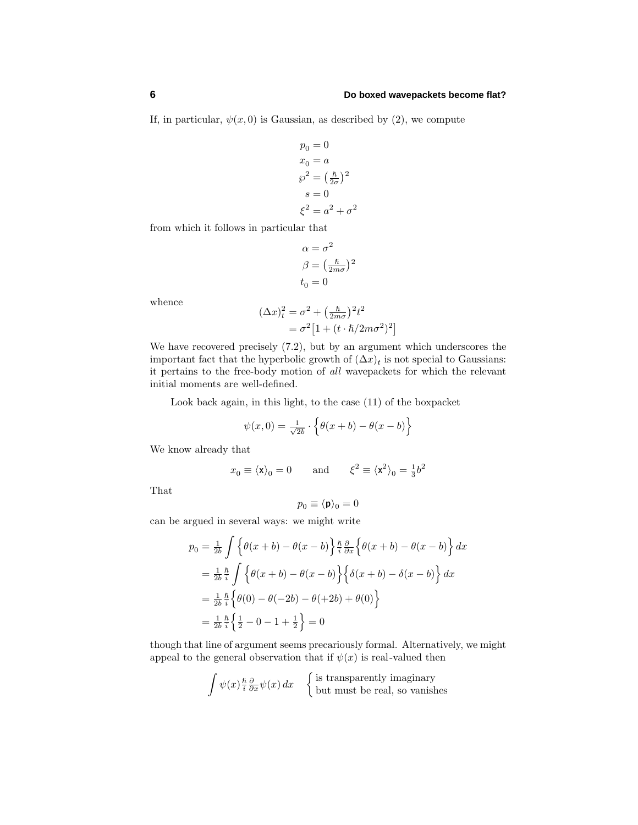If, in particular,  $\psi(x,0)$  is Gaussian, as described by (2), we compute

$$
p_0 = 0
$$
  
\n
$$
x_0 = a
$$
  
\n
$$
\wp^2 = \left(\frac{\hbar}{2\sigma}\right)^2
$$
  
\n
$$
s = 0
$$
  
\n
$$
\xi^2 = a^2 + \sigma^2
$$

from which it follows in particular that

$$
\alpha = \sigma^2
$$

$$
\beta = \left(\frac{\hbar}{2m\sigma}\right)^2
$$

$$
t_0 = 0
$$

whence

$$
(\Delta x)_t^2 = \sigma^2 + \left(\frac{\hbar}{2m\sigma}\right)^2 t^2
$$
  
=  $\sigma^2 \left[1 + (t \cdot \hbar/2m\sigma^2)^2\right]$ 

We have recovered precisely (7.2), but by an argument which underscores the important fact that the hyperbolic growth of  $(\Delta x)_t$  is not special to Gaussians: it pertains to the free-body motion of all wavepackets for which the relevant initial moments are well-defined.

Look back again, in this light, to the case (11) of the boxpacket

$$
\psi(x,0) = \frac{1}{\sqrt{2b}} \cdot \left\{ \theta(x+b) - \theta(x-b) \right\}
$$

We know already that

$$
x_0 \equiv \langle \mathbf{x} \rangle_0 = 0
$$
 and  $\xi^2 \equiv \langle \mathbf{x}^2 \rangle_0 = \frac{1}{3}b^2$ 

That

$$
p_0 \equiv \langle \mathbf{p} \rangle_0 = 0
$$

can be argued in several ways: we might write

$$
p_0 = \frac{1}{2b} \int \left\{ \theta(x+b) - \theta(x-b) \right\} \frac{\hbar}{i} \frac{\partial}{\partial x} \left\{ \theta(x+b) - \theta(x-b) \right\} dx
$$
  
\n
$$
= \frac{1}{2b} \frac{\hbar}{i} \int \left\{ \theta(x+b) - \theta(x-b) \right\} \left\{ \delta(x+b) - \delta(x-b) \right\} dx
$$
  
\n
$$
= \frac{1}{2b} \frac{\hbar}{i} \left\{ \theta(0) - \theta(-2b) - \theta(+2b) + \theta(0) \right\}
$$
  
\n
$$
= \frac{1}{2b} \frac{\hbar}{i} \left\{ \frac{1}{2} - 0 - 1 + \frac{1}{2} \right\} = 0
$$

though that line of argument seems precariously formal. Alternatively, we might appeal to the general observation that if  $\psi(x)$  is real-valued then

$$
\int \psi(x) \frac{\hbar}{i} \frac{\partial}{\partial x} \psi(x) dx
$$
 {is transparently imaginary  
but must be real, so vanishes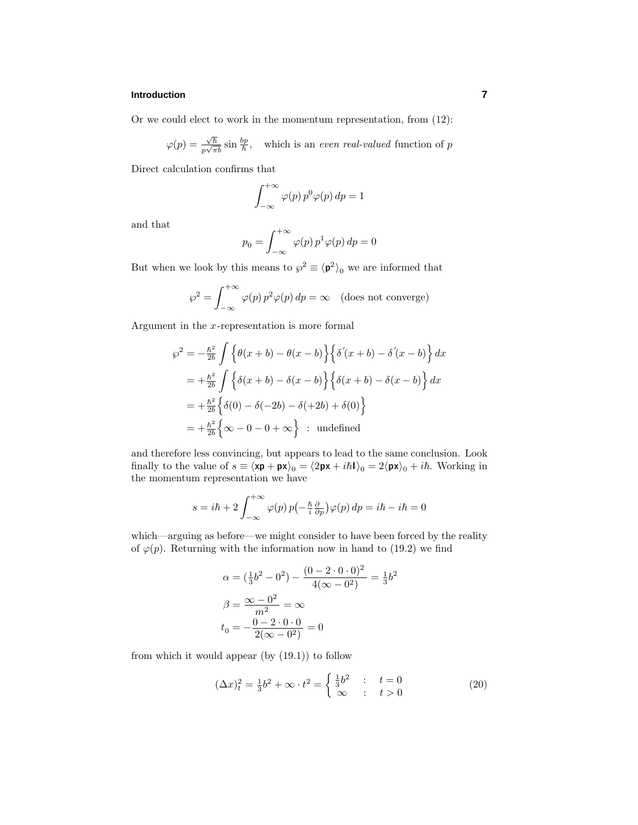Or we could elect to work in the momentum representation, from (12):

$$
\varphi(p) = \frac{\sqrt{\hbar}}{p\sqrt{\pi b}} \sin\frac{bp}{\hbar}, \quad \text{which is an even real-valued function of } p
$$

Direct calculation confirms that

$$
\int_{-\infty}^{+\infty} \varphi(p) p^0 \varphi(p) dp = 1
$$

and that

$$
p_0 = \int_{-\infty}^{+\infty} \varphi(p) \, p^1 \varphi(p) \, dp = 0
$$

But when we look by this means to  $\wp^2 \equiv \langle \mathbf{p}^2 \rangle_0$  we are informed that

$$
\wp^2 = \int_{-\infty}^{+\infty} \varphi(p) \, p^2 \varphi(p) \, dp = \infty \quad \text{(does not converge)}
$$

Argument in the *x*-representation is more formal

$$
\wp^2 = -\frac{\hbar^2}{2b} \int \left\{ \theta(x+b) - \theta(x-b) \right\} \left\{ \delta'(x+b) - \delta'(x-b) \right\} dx
$$
  
=  $+\frac{\hbar^2}{2b} \int \left\{ \delta(x+b) - \delta(x-b) \right\} \left\{ \delta(x+b) - \delta(x-b) \right\} dx$   
=  $+\frac{\hbar^2}{2b} \left\{ \delta(0) - \delta(-2b) - \delta(+2b) + \delta(0) \right\}$   
=  $+\frac{\hbar^2}{2b} \left\{ \infty - 0 - 0 + \infty \right\}$ : undefined

and therefore less convincing, but appears to lead to the same conclusion. Look finally to the value of  $s \equiv \langle x\mathbf{p} + \mathbf{p}x \rangle_0 = \langle 2\mathbf{p}x + i\hbar \mathbf{I} \rangle_0 = 2\langle \mathbf{p}x \rangle_0 + i\hbar$ . Working in the momentum representation we have

$$
s = i\hbar + 2\int_{-\infty}^{+\infty} \varphi(p) \, p\left(-\frac{\hbar}{i} \frac{\partial}{\partial p}\right) \varphi(p) \, dp = i\hbar - i\hbar = 0
$$

which—arguing as before—we might consider to have been forced by the reality of  $\varphi(p)$ . Returning with the information now in hand to (19.2) we find

$$
\alpha = \left(\frac{1}{3}b^2 - 0^2\right) - \frac{(0 - 2 \cdot 0 \cdot 0)^2}{4(\infty - 0^2)} = \frac{1}{3}b^2
$$

$$
\beta = \frac{\infty - 0^2}{m^2} = \infty
$$

$$
t_0 = -\frac{0 - 2 \cdot 0 \cdot 0}{2(\infty - 0^2)} = 0
$$

from which it would appear  $(by (19.1))$  to follow

$$
(\Delta x)_t^2 = \frac{1}{3}b^2 + \infty \cdot t^2 = \begin{cases} \frac{1}{3}b^2 & \text{: } t = 0\\ \infty & \text{: } t > 0 \end{cases}
$$
 (20)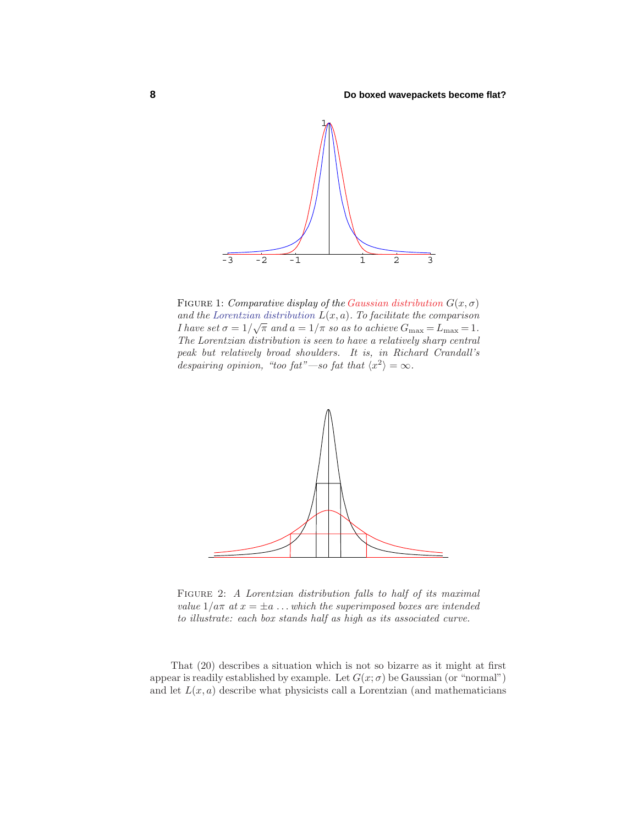

FIGURE 1: Comparative display of the Gaussian distribution  $G(x, \sigma)$ and the Lorentzian distribution  $L(x, a)$ . To facilitate the comparison I have set  $\sigma = 1/\sqrt{\pi}$  and  $a = 1/\pi$  so as to achieve  $G_{\text{max}} = L_{\text{max}} = 1$ . The Lorentzian distribution is seen to have a relatively sharp central peak but relatively broad shoulders. It is, in Richard Crandall's despairing opinion, "too fat"—so fat that  $\langle x^2 \rangle = \infty$ .



FIGURE 2: A Lorentzian distribution falls to half of its maximal value  $1/a\pi$  at  $x = \pm a$ ...which the superimposed boxes are intended to illustrate: each box stands half as high as its associated curve.

That (20) describes a situation which is not so bizarre as it might at first appear is readily established by example. Let  $G(x; \sigma)$  be Gaussian (or "normal") and let  $L(x, a)$  describe what physicists call a Lorentzian (and mathematicians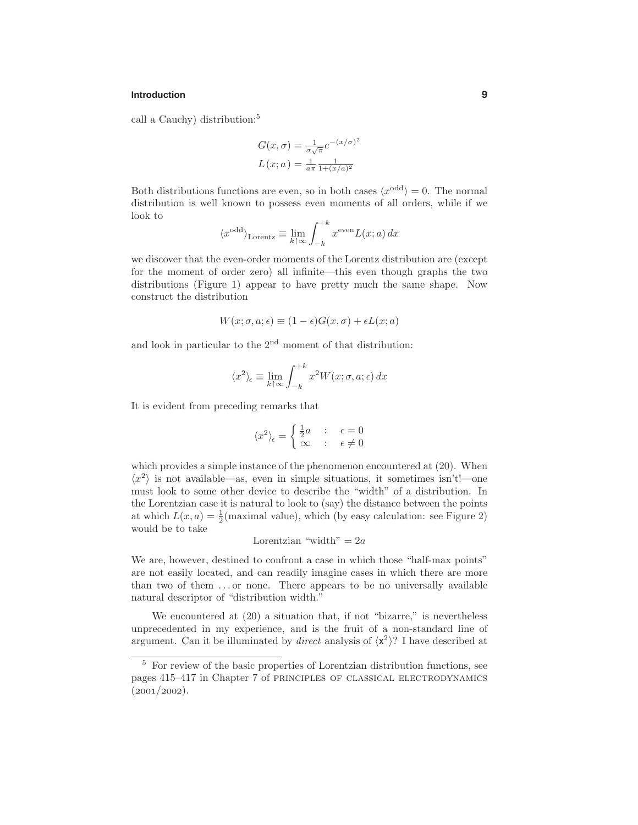call a Cauchy) distribution:<sup>5</sup>

$$
G(x, \sigma) = \frac{1}{\sigma \sqrt{\pi}} e^{-(x/\sigma)^2}
$$

$$
L(x; a) = \frac{1}{a\pi} \frac{1}{1 + (x/a)^2}
$$

Both distributions functions are even, so in both cases  $\langle x^{\text{odd}} \rangle = 0$ . The normal distribution is well known to possess even moments of all orders, while if we look to

$$
\langle x^{\text{odd}} \rangle_{\text{Lorentz}} \equiv \lim_{k \uparrow \infty} \int_{-k}^{+k} x^{\text{even}} L(x; a) dx
$$

we discover that the even-order moments of the Lorentz distribution are (except for the moment of order zero) all infinite—this even though graphs the two distributions (Figure 1) appear to have pretty much the same shape. Now construct the distribution

$$
W(x; \sigma, a; \epsilon) \equiv (1 - \epsilon)G(x, \sigma) + \epsilon L(x; a)
$$

and look in particular to the  $2<sup>nd</sup>$  moment of that distribution:

$$
\langle x^2 \rangle_\epsilon \equiv \lim_{k \uparrow \infty} \int_{-k}^{+k} x^2 W(x;\sigma,a;\epsilon) \, dx
$$

It is evident from preceding remarks that

$$
\langle x^2 \rangle_{\epsilon} = \begin{cases} \frac{1}{2}a & : \epsilon = 0\\ \infty & : \epsilon \neq 0 \end{cases}
$$

which provides a simple instance of the phenomenon encountered at  $(20)$ . When  $\langle x^2 \rangle$  is not available—as, even in simple situations, it sometimes isn't!—one must look to some other device to describe the "width" of a distribution. In the Lorentzian case it is natural to look to (say) the distance between the points at which  $L(x, a) = \frac{1}{2}$  (maximal value), which (by easy calculation: see Figure 2) would be to take

Lorentzian "width" = 
$$
2a
$$

We are, however, destined to confront a case in which those "half-max points" are not easily located, and can readily imagine cases in which there are more than two of them *...* or none. There appears to be no universally available natural descriptor of "distribution width."

We encountered at  $(20)$  a situation that, if not "bizarre," is nevertheless unprecedented in my experience, and is the fruit of a non-standard line of argument. Can it be illuminated by *direct* analysis of  $\langle x^2 \rangle$ ? I have described at

<sup>5</sup> For review of the basic properties of Lorentzian distribution functions, see pages 415–417 in Chapter 7 of principles of classical electrodynamics  $(2001/2002).$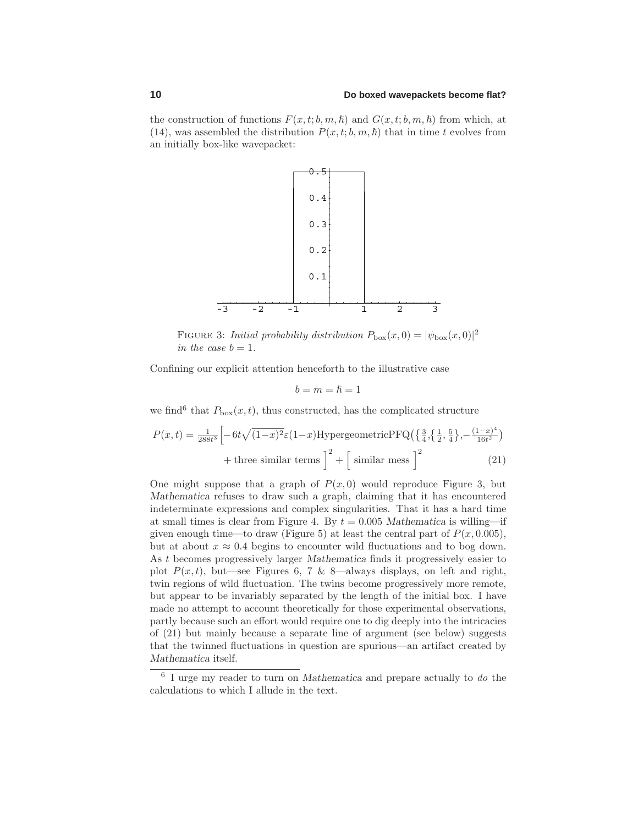#### **10 Do boxed wavepackets become flat?**

the construction of functions  $F(x, t; b, m, \hbar)$  and  $G(x, t; b, m, \hbar)$  from which, at (14), was assembled the distribution  $P(x, t; b, m, \hbar)$  that in time *t* evolves from an initially box-like wavepacket:



FIGURE 3: *Initial probability distribution*  $P_{\text{box}}(x,0) = |\psi_{\text{box}}(x,0)|^2$ in the case  $b = 1$ .

Confining our explicit attention henceforth to the illustrative case

$$
b=m=\hslash=1
$$

we find<sup>6</sup> that  $P_{\text{box}}(x,t)$ , thus constructed, has the complicated structure

$$
P(x,t) = \frac{1}{288t^3} \left[ -6t\sqrt{(1-x)^2} \varepsilon (1-x) \text{Hypergeometric} \text{PfQ}\left(\left\{\frac{3}{4}, \left\{\frac{1}{2}, \frac{5}{4}\right\}, -\frac{(1-x)^4}{16t^2}\right\}\right) + \text{three similar terms} \right]^2 + \left[\text{ similar mess}\right]^2 \tag{21}
$$

One might suppose that a graph of  $P(x, 0)$  would reproduce Figure 3, but *Mathematica* refuses to draw such a graph, claiming that it has encountered indeterminate expressions and complex singularities. That it has a hard time at small times is clear from Figure 4. By  $t = 0.005$  *Mathematica* is willing—if given enough time—to draw (Figure 5) at least the central part of  $P(x, 0.005)$ , but at about  $x \approx 0.4$  begins to encounter wild fluctuations and to bog down. As *t* becomes progressively larger *Mathematica* finds it progressively easier to plot  $P(x, t)$ , but—see Figures 6, 7 & 8—always displays, on left and right, twin regions of wild fluctuation. The twins become progressively more remote, but appear to be invariably separated by the length of the initial box. I have made no attempt to account theoretically for those experimental observations, partly because such an effort would require one to dig deeply into the intricacies of (21) but mainly because a separate line of argument (see below) suggests that the twinned fluctuations in question are spurious—an artifact created by *Mathematica* itself.

<sup>6</sup> I urge my reader to turn on *Mathematica* and prepare actually to do the calculations to which I allude in the text.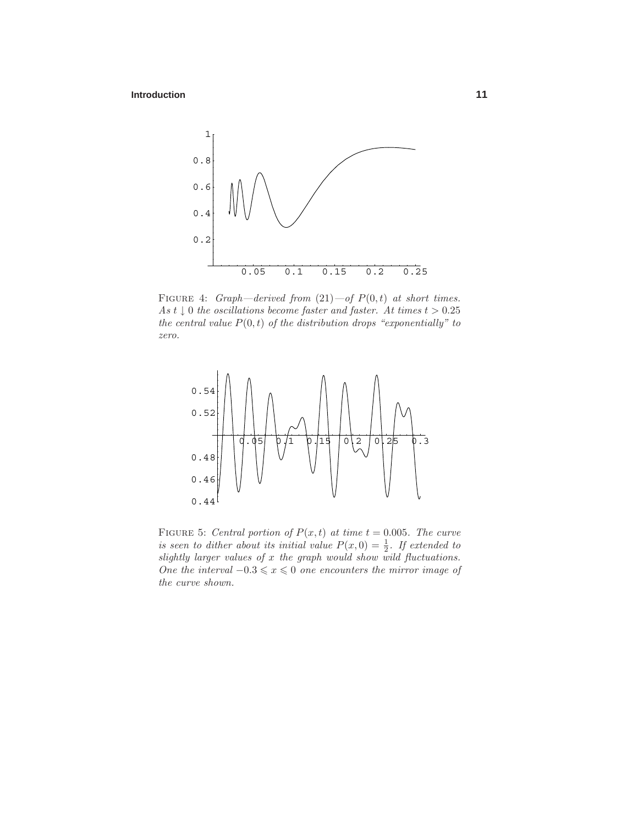

FIGURE 4: *Graph—derived from*  $(21)$ —of  $P(0,t)$  at short times. As  $t \downarrow 0$  the oscillations become faster and faster. At times  $t > 0.25$ the central value  $P(0,t)$  of the distribution drops "exponentially" to zero.



FIGURE 5: Central portion of  $P(x, t)$  at time  $t = 0.005$ . The curve is seen to dither about its initial value  $P(x, 0) = \frac{1}{2}$ . If extended to slightly larger values of *x* the graph would show wild fluctuations. One the interval  $-0.3 \le x \le 0$  one encounters the mirror image of the curve shown.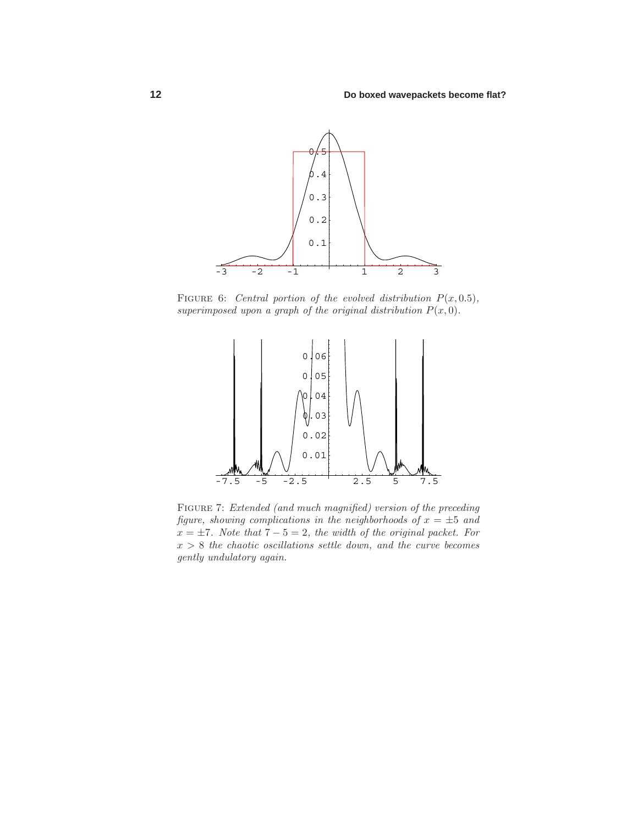

FIGURE 6: Central portion of the evolved distribution  $P(x, 0.5)$ , superimposed upon a graph of the original distribution  $P(x, 0)$ .



FIGURE 7: Extended (and much magnified) version of the preceding figure, showing complications in the neighborhoods of  $x = \pm 5$  and  $x = \pm 7$ . Note that  $7 - 5 = 2$ , the width of the original packet. For  $x > 8$  the chaotic oscillations settle down, and the curve becomes gently undulatory again.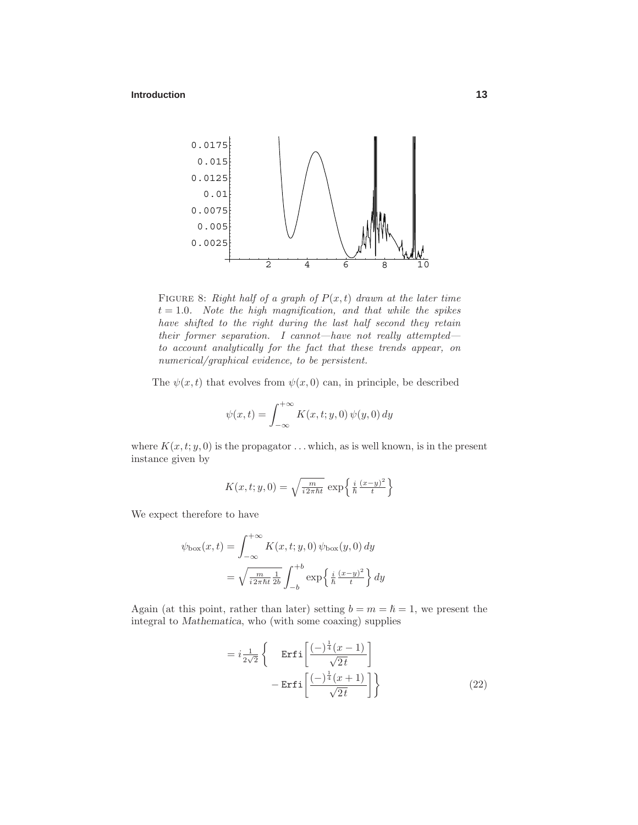

FIGURE 8: Right half of a graph of  $P(x, t)$  drawn at the later time  $t = 1.0$ . Note the high magnification, and that while the spikes have shifted to the right during the last half second they retain their former separation. I cannot—have not really attempted to account analytically for the fact that these trends appear, on numerical/graphical evidence, to be persistent.

The  $\psi(x, t)$  that evolves from  $\psi(x, 0)$  can, in principle, be described

$$
\psi(x,t) = \int_{-\infty}^{+\infty} K(x,t;y,0) \psi(y,0) dy
$$

where  $K(x, t; y, 0)$  is the propagator  $\dots$  which, as is well known, is in the present instance given by

$$
K(x, t; y, 0) = \sqrt{\frac{m}{i 2\pi \hbar t}} \exp\left\{\frac{i}{\hbar} \frac{(x-y)^2}{t}\right\}
$$

We expect therefore to have

$$
\psi_{\text{box}}(x,t) = \int_{-\infty}^{+\infty} K(x,t;y,0) \psi_{\text{box}}(y,0) dy
$$

$$
= \sqrt{\frac{m}{i 2\pi \hbar t} \frac{1}{2b}} \int_{-b}^{+b} \exp\left\{\frac{i}{\hbar} \frac{(x-y)^2}{t}\right\} dy
$$

Again (at this point, rather than later) setting  $b = m = \hbar = 1$ , we present the integral to *Mathematica*, who (with some coaxing) supplies

$$
= i\frac{1}{2\sqrt{2}} \left\{ \operatorname{Erfi}\left[\frac{(-)^{\frac{1}{4}}(x-1)}{\sqrt{2t}}\right] - \operatorname{Erfi}\left[\frac{(-)^{\frac{1}{4}}(x+1)}{\sqrt{2t}}\right] \right\}
$$
(22)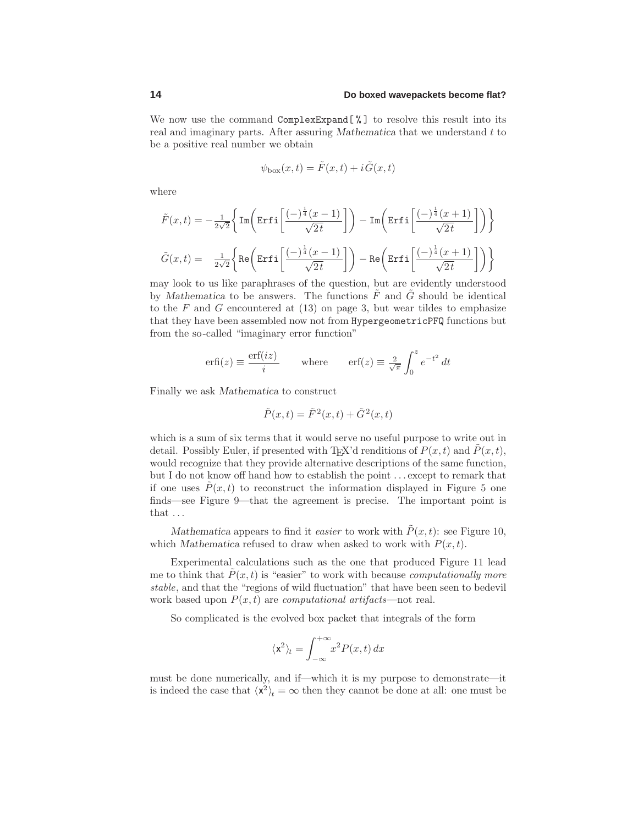#### **14 Do boxed wavepackets become flat?**

We now use the command  $\texttt{ComplexExpand}[\%]$  to resolve this result into its real and imaginary parts. After assuring *Mathematica* that we understand *t* to be a positive real number we obtain

$$
\psi_{\text{box}}(x,t) = \tilde{F}(x,t) + i\tilde{G}(x,t)
$$

where

$$
\begin{aligned} &\tilde{F}(x,t)=-\tfrac{1}{2\sqrt{2}}\bigg\{\mathrm{Im}\bigg(\mathrm{Erfi}\bigg[\frac{(-)^{\frac{1}{4}}(x-1)}{\sqrt{2\,t}}\bigg]\bigg)-\mathrm{Im}\bigg(\mathrm{Erfi}\bigg[\frac{(-)^{\frac{1}{4}}(x+1)}{\sqrt{2\,t}}\bigg]\bigg)\bigg\}\\ &\tilde{G}(x,t)=-\tfrac{1}{2\sqrt{2}}\bigg\{\mathrm{Re}\bigg(\mathrm{Erfi}\bigg[\frac{(-)^{\frac{1}{4}}(x-1)}{\sqrt{2\,t}}\bigg]\bigg)-\mathrm{Re}\bigg(\mathrm{Erfi}\bigg[\frac{(-)^{\frac{1}{4}}(x+1)}{\sqrt{2\,t}}\bigg]\bigg)\bigg\} \end{aligned}
$$

may look to us like paraphrases of the question, but are evidently understood by *Mathematica* to be answers. The functions  $\tilde{F}$  and  $\tilde{G}$  should be identical to the  $F$  and  $G$  encountered at  $(13)$  on page 3, but wear tildes to emphasize that they have been assembled now not from HypergeometricPFQ functions but from the so-called "imaginary error function"

$$
\operatorname{erfi}(z) \equiv \frac{\operatorname{erf}(iz)}{i} \qquad \text{where} \qquad \operatorname{erf}(z) \equiv \frac{2}{\sqrt{\pi}} \int_0^z e^{-t^2} dt
$$

Finally we ask *Mathematica* to construct

$$
\tilde{P}(x,t) = \tilde{F}^2(x,t) + \tilde{G}^2(x,t)
$$

which is a sum of six terms that it would serve no useful purpose to write out in detail. Possibly Euler, if presented with T<sub>E</sub>X'd renditions of  $P(x, t)$  and  $\tilde{P}(x, t)$ , would recognize that they provide alternative descriptions of the same function, but I do not know off hand how to establish the point *...* except to remark that if one uses  $\tilde{P}(x,t)$  to reconstruct the information displayed in Figure 5 one finds—see Figure 9—that the agreement is precise. The important point is that *...*

*Mathematica* appears to find it *easier* to work with  $\tilde{P}(x, t)$ : see Figure 10, which *Mathematica* refused to draw when asked to work with  $P(x, t)$ .

Experimental calculations such as the one that produced Figure 11 lead me to think that  $\hat{P}(x,t)$  is "easier" to work with because *computationally more* stable, and that the "regions of wild fluctuation" that have been seen to bedevil work based upon  $P(x, t)$  are *computational artifacts*—not real.

So complicated is the evolved box packet that integrals of the form

$$
\langle \mathbf{x}^2 \rangle_t = \int_{-\infty}^{+\infty} x^2 P(x, t) \, dx
$$

must be done numerically, and if—which it is my purpose to demonstrate—it is indeed the case that  $\langle x^2 \rangle_t = \infty$  then they cannot be done at all: one must be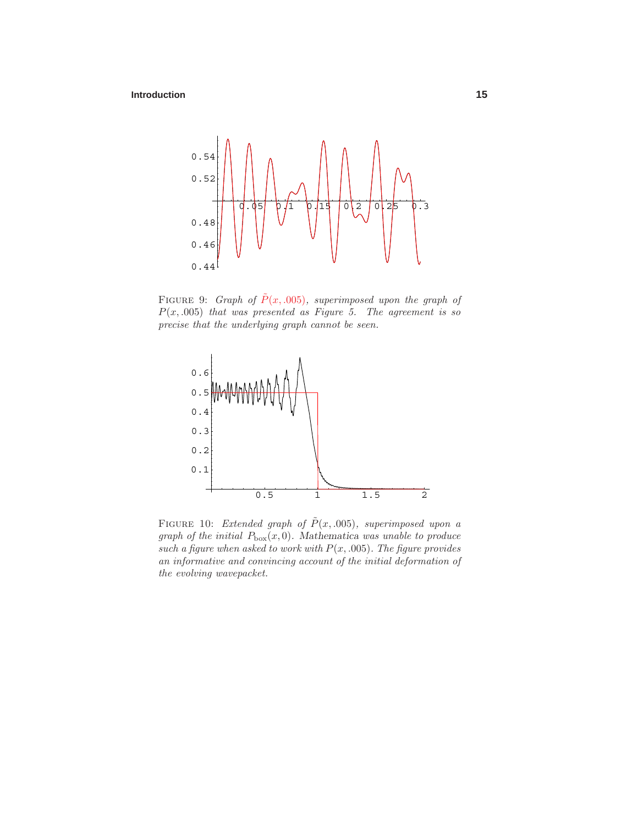

FIGURE 9: Graph of  $\tilde{P}(x, .005)$ , superimposed upon the graph of  $P(x, .005)$  that was presented as Figure 5. The agreement is so precise that the underlying graph cannot be seen.



FIGURE 10: *Extended graph of*  $\tilde{P}(x, .005)$ *, superimposed upon a* graph of the initial  $P_{\text{box}}(x,0)$ . Mathematica was unable to produce such a figure when asked to work with  $P(x, .005)$ . The figure provides an informative and convincing account of the initial deformation of the evolving wavepacket.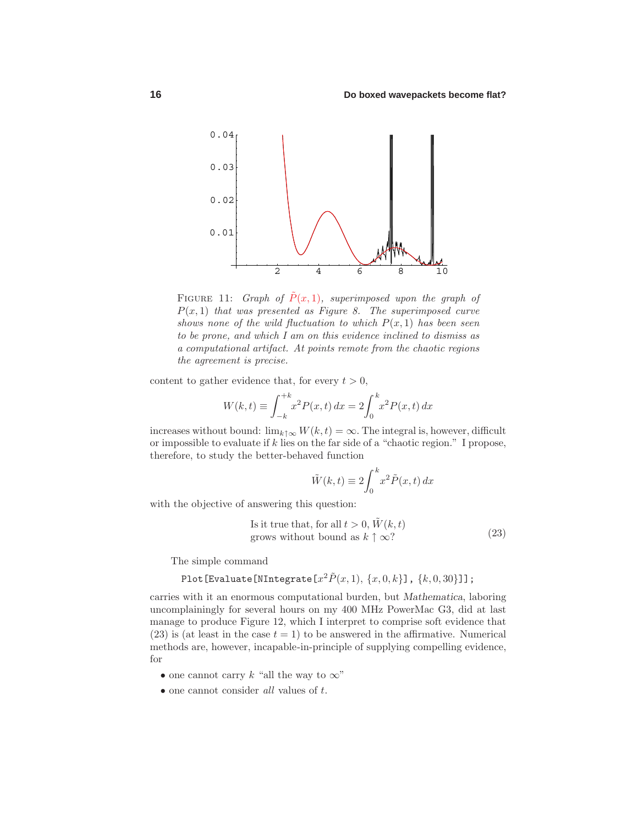

FIGURE 11: Graph of  $\tilde{P}(x, 1)$ , superimposed upon the graph of  $P(x,1)$  that was presented as Figure 8. The superimposed curve shows none of the wild fluctuation to which  $P(x, 1)$  has been seen to be prone, and which Iam on this evidence inclined to dismiss as a computational artifact. At points remote from the chaotic regions the agreement is precise.

content to gather evidence that, for every  $t > 0$ ,

$$
W(k,t) \equiv \int_{-k}^{+k} x^2 P(x,t) \, dx = 2 \int_0^k x^2 P(x,t) \, dx
$$

increases without bound:  $\lim_{k \uparrow \infty} W(k, t) = \infty$ . The integral is, however, difficult or impossible to evaluate if *k* lies on the far side of a "chaotic region." I propose, therefore, to study the better-behaved function

$$
\tilde{W}(k,t) \equiv 2 \int_0^k x^2 \tilde{P}(x,t) \, dx
$$

with the objective of answering this question:

Is it true that, for all 
$$
t > 0
$$
,  $\tilde{W}(k, t)$   
grows without bound as  $k \uparrow \infty$ ? (23)

The simple command

$$
\verb!Plot[Evaluate[NIntegrate[ x^2 \tilde{P}(x,1),\,\{x,0,k\}]\,,\,\{k,0,30\}]]\,;
$$

carries with it an enormous computational burden, but *Mathematica*, laboring uncomplainingly for several hours on my 400 MHz PowerMac G3, did at last manage to produce Figure 12, which I interpret to comprise soft evidence that (23) is (at least in the case  $t = 1$ ) to be answered in the affirmative. Numerical methods are, however, incapable-in-principle of supplying compelling evidence, for

- one cannot carry  $k$  "all the way to  $\infty$ "
- one cannot consider all values of *t*.